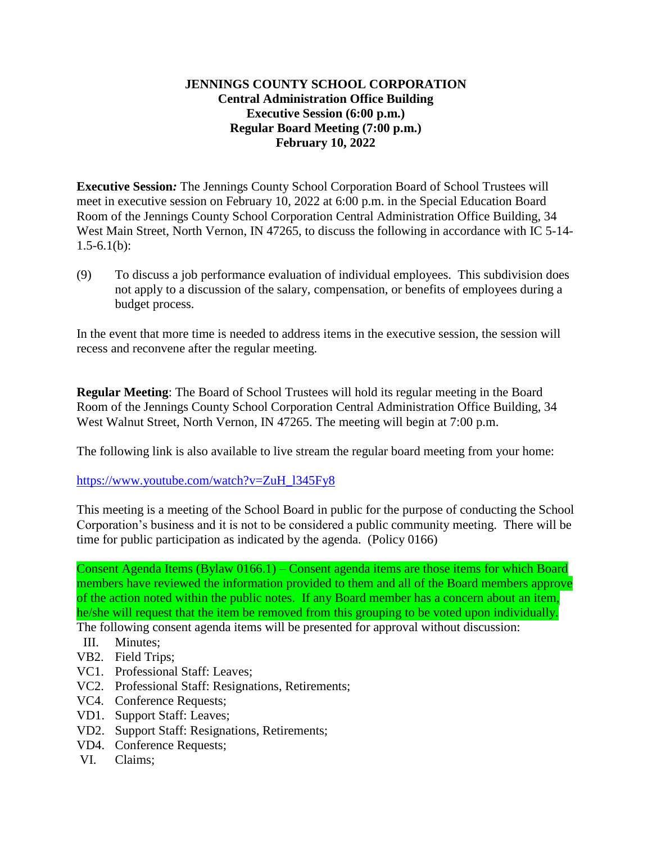## **JENNINGS COUNTY SCHOOL CORPORATION Central Administration Office Building Executive Session (6:00 p.m.) Regular Board Meeting (7:00 p.m.) February 10, 2022**

**Executive Session***:* The Jennings County School Corporation Board of School Trustees will meet in executive session on February 10, 2022 at 6:00 p.m. in the Special Education Board Room of the Jennings County School Corporation Central Administration Office Building, 34 West Main Street, North Vernon, IN 47265, to discuss the following in accordance with IC 5-14- $1.5 - 6.1(b)$ :

(9) To discuss a job performance evaluation of individual employees. This subdivision does not apply to a discussion of the salary, compensation, or benefits of employees during a budget process.

In the event that more time is needed to address items in the executive session, the session will recess and reconvene after the regular meeting.

**Regular Meeting**: The Board of School Trustees will hold its regular meeting in the Board Room of the Jennings County School Corporation Central Administration Office Building, 34 West Walnut Street, North Vernon, IN 47265. The meeting will begin at 7:00 p.m.

The following link is also available to live stream the regular board meeting from your home:

[https://www.youtube.com/watch?v=ZuH\\_l345Fy8](https://www.youtube.com/watch?v=ZuH_l345Fy8)

This meeting is a meeting of the School Board in public for the purpose of conducting the School Corporation's business and it is not to be considered a public community meeting. There will be time for public participation as indicated by the agenda. (Policy 0166)

Consent Agenda Items (Bylaw 0166.1) – Consent agenda items are those items for which Board members have reviewed the information provided to them and all of the Board members approve of the action noted within the public notes. If any Board member has a concern about an item, he/she will request that the item be removed from this grouping to be voted upon individually.

The following consent agenda items will be presented for approval without discussion:

- III. Minutes;
- VB2. Field Trips;
- VC1. Professional Staff: Leaves;
- VC2. Professional Staff: Resignations, Retirements;
- VC4. Conference Requests;
- VD1. Support Staff: Leaves;
- VD2. Support Staff: Resignations, Retirements;
- VD4. Conference Requests;
- VI. Claims;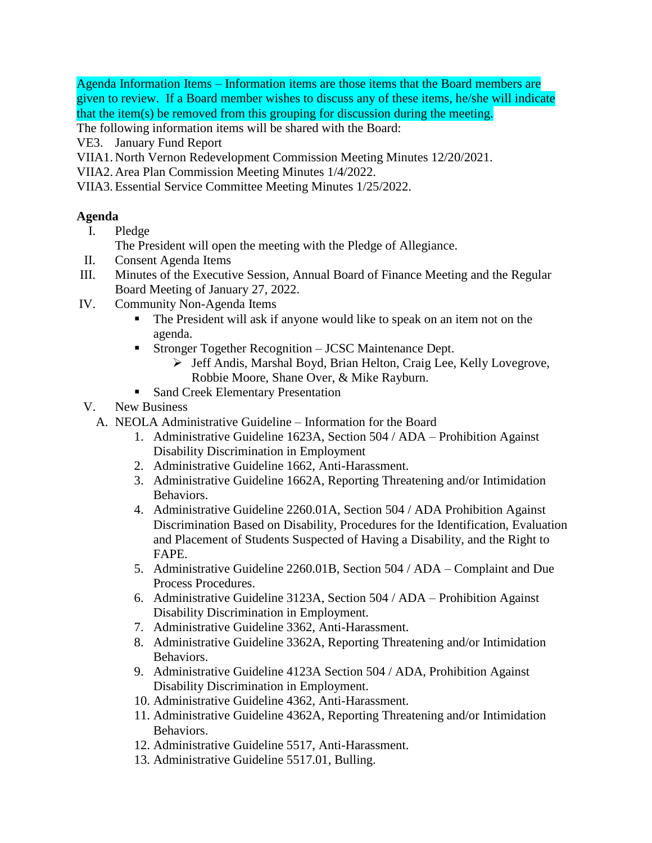Agenda Information Items – Information items are those items that the Board members are given to review. If a Board member wishes to discuss any of these items, he/she will indicate that the item(s) be removed from this grouping for discussion during the meeting.

The following information items will be shared with the Board:

- VE3. January Fund Report
- VIIA1. North Vernon Redevelopment Commission Meeting Minutes 12/20/2021.
- VIIA2. Area Plan Commission Meeting Minutes 1/4/2022.
- VIIA3.Essential Service Committee Meeting Minutes 1/25/2022.

## **Agenda**

I. Pledge

The President will open the meeting with the Pledge of Allegiance.

- II. Consent Agenda Items
- III. Minutes of the Executive Session, Annual Board of Finance Meeting and the Regular Board Meeting of January 27, 2022.
- IV. Community Non-Agenda Items
	- The President will ask if anyone would like to speak on an item not on the agenda.
	- **Stronger Together Recognition JCSC Maintenance Dept.** 
		- > Jeff Andis, Marshal Boyd, Brian Helton, Craig Lee, Kelly Lovegrove, Robbie Moore, Shane Over, & Mike Rayburn.
	- Sand Creek Elementary Presentation
- V. New Business
	- A. NEOLA Administrative Guideline Information for the Board
		- 1. Administrative Guideline 1623A, Section 504 / ADA Prohibition Against Disability Discrimination in Employment
		- 2. Administrative Guideline 1662, Anti-Harassment.
		- 3. Administrative Guideline 1662A, Reporting Threatening and/or Intimidation Behaviors.
		- 4. Administrative Guideline 2260.01A, Section 504 / ADA Prohibition Against Discrimination Based on Disability, Procedures for the Identification, Evaluation and Placement of Students Suspected of Having a Disability, and the Right to FAPE.
		- 5. Administrative Guideline 2260.01B, Section 504 / ADA Complaint and Due Process Procedures.
		- 6. Administrative Guideline 3123A, Section 504 / ADA Prohibition Against Disability Discrimination in Employment.
		- 7. Administrative Guideline 3362, Anti-Harassment.
		- 8. Administrative Guideline 3362A, Reporting Threatening and/or Intimidation Behaviors.
		- 9. Administrative Guideline 4123A Section 504 / ADA, Prohibition Against Disability Discrimination in Employment.
		- 10. Administrative Guideline 4362, Anti-Harassment.
		- 11. Administrative Guideline 4362A, Reporting Threatening and/or Intimidation Behaviors.
		- 12. Administrative Guideline 5517, Anti-Harassment.
		- 13. Administrative Guideline 5517.01, Bulling.